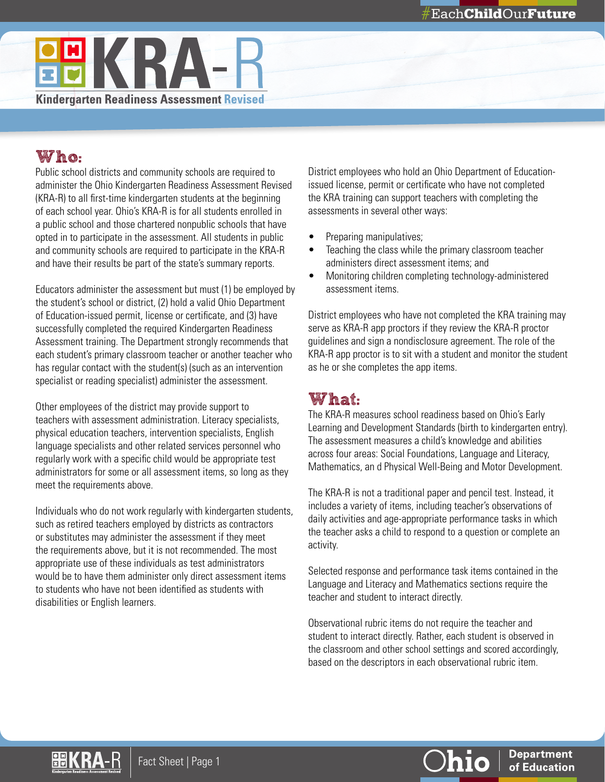

# Who:

Public school districts and community schools are required to administer the Ohio Kindergarten Readiness Assessment Revised (KRA-R) to all first-time kindergarten students at the beginning of each school year. Ohio's KRA-R is for all students enrolled in a public school and those chartered nonpublic schools that have opted in to participate in the assessment. All students in public and community schools are required to participate in the KRA-R and have their results be part of the state's summary reports.

Educators administer the assessment but must (1) be employed by the student's school or district, (2) hold a valid Ohio Department of Education-issued permit, license or certificate, and (3) have successfully completed the required Kindergarten Readiness Assessment training. The Department strongly recommends that each student's primary classroom teacher or another teacher who has regular contact with the student(s) (such as an intervention specialist or reading specialist) administer the assessment.

Other employees of the district may provide support to teachers with assessment administration. Literacy specialists, physical education teachers, intervention specialists, English language specialists and other related services personnel who regularly work with a specific child would be appropriate test administrators for some or all assessment items, so long as they meet the requirements above.

Individuals who do not work regularly with kindergarten students, such as retired teachers employed by districts as contractors or substitutes may administer the assessment if they meet the requirements above, but it is not recommended. The most appropriate use of these individuals as test administrators would be to have them administer only direct assessment items to students who have not been identified as students with disabilities or English learners.

District employees who hold an Ohio Department of Educationissued license, permit or certificate who have not completed the KRA training can support teachers with completing the assessments in several other ways:

- Preparing manipulatives;
- Teaching the class while the primary classroom teacher administers direct assessment items; and
- Monitoring children completing technology-administered assessment items.

District employees who have not completed the KRA training may serve as KRA-R app proctors if they review the KRA-R proctor guidelines and sign a nondisclosure agreement. The role of the KRA-R app proctor is to sit with a student and monitor the student as he or she completes the app items.

# What:

The KRA-R measures school readiness based on Ohio's Early Learning and Development Standards (birth to kindergarten entry). The assessment measures a child's knowledge and abilities across four areas: Social Foundations, Language and Literacy, Mathematics, an d Physical Well-Being and Motor Development.

The KRA-R is not a traditional paper and pencil test. Instead, it includes a variety of items, including teacher's observations of daily activities and age-appropriate performance tasks in which the teacher asks a child to respond to a question or complete an activity.

Selected response and performance task items contained in the Language and Literacy and Mathematics sections require the teacher and student to interact directly.

Observational rubric items do not require the teacher and student to interact directly. Rather, each student is observed in the classroom and other school settings and scored accordingly, based on the descriptors in each observational rubric item.



**Department** of Education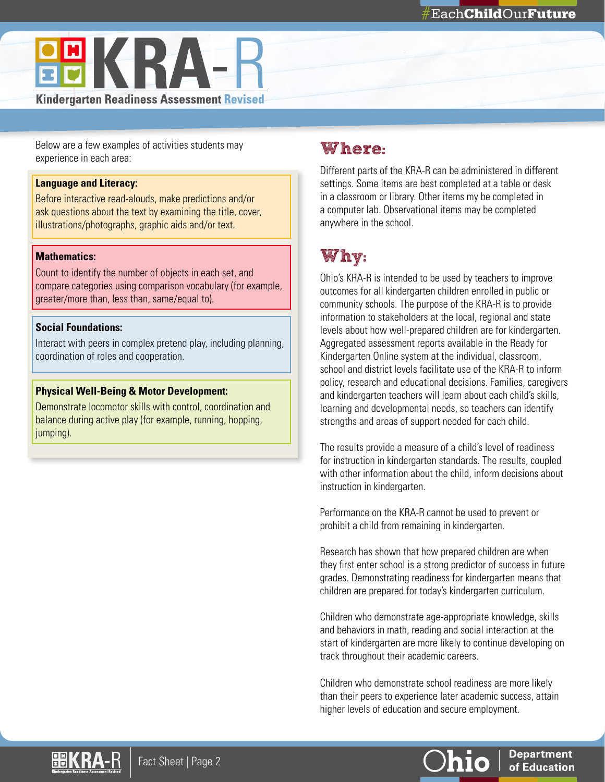

Below are a few examples of activities students may experience in each area:

#### **Language and Literacy:**

Before interactive read-alouds, make predictions and/or ask questions about the text by examining the title, cover, illustrations/photographs, graphic aids and/or text.

#### **Mathematics:**

Count to identify the number of objects in each set, and compare categories using comparison vocabulary (for example, greater/more than, less than, same/equal to).

#### **Social Foundations:**

Interact with peers in complex pretend play, including planning, coordination of roles and cooperation.

#### **Physical Well-Being & Motor Development:**

Demonstrate locomotor skills with control, coordination and balance during active play (for example, running, hopping, jumping).

## Where:

Different parts of the KRA-R can be administered in different settings. Some items are best completed at a table or desk in a classroom or library. Other items my be completed in a computer lab. Observational items may be completed anywhere in the school.

## Why:

Ohio's KRA-R is intended to be used by teachers to improve outcomes for all kindergarten children enrolled in public or community schools. The purpose of the KRA-R is to provide information to stakeholders at the local, regional and state levels about how well-prepared children are for kindergarten. Aggregated assessment reports available in the Ready for Kindergarten Online system at the individual, classroom, school and district levels facilitate use of the KRA-R to inform policy, research and educational decisions. Families, caregivers and kindergarten teachers will learn about each child's skills, learning and developmental needs, so teachers can identify strengths and areas of support needed for each child.

The results provide a measure of a child's level of readiness for instruction in kindergarten standards. The results, coupled with other information about the child, inform decisions about instruction in kindergarten.

Performance on the KRA-R cannot be used to prevent or prohibit a child from remaining in kindergarten.

Research has shown that how prepared children are when they first enter school is a strong predictor of success in future grades. Demonstrating readiness for kindergarten means that children are prepared for today's kindergarten curriculum.

Children who demonstrate age-appropriate knowledge, skills and behaviors in math, reading and social interaction at the start of kindergarten are more likely to continue developing on track throughout their academic careers.

Children who demonstrate school readiness are more likely than their peers to experience later academic success, attain higher levels of education and secure employment.



**Department** 

of Education